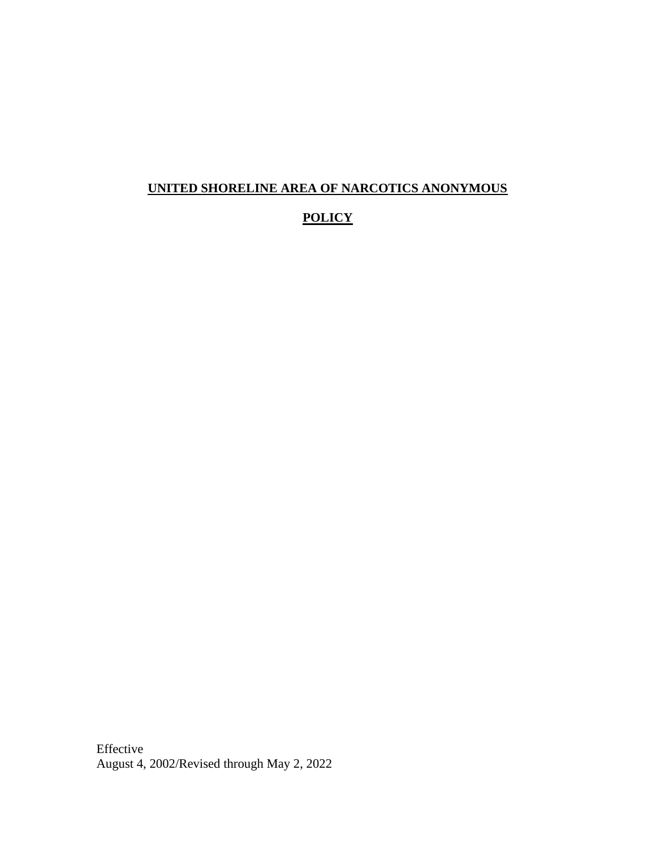#### **UNITED SHORELINE AREA OF NARCOTICS ANONYMOUS**

#### **POLICY**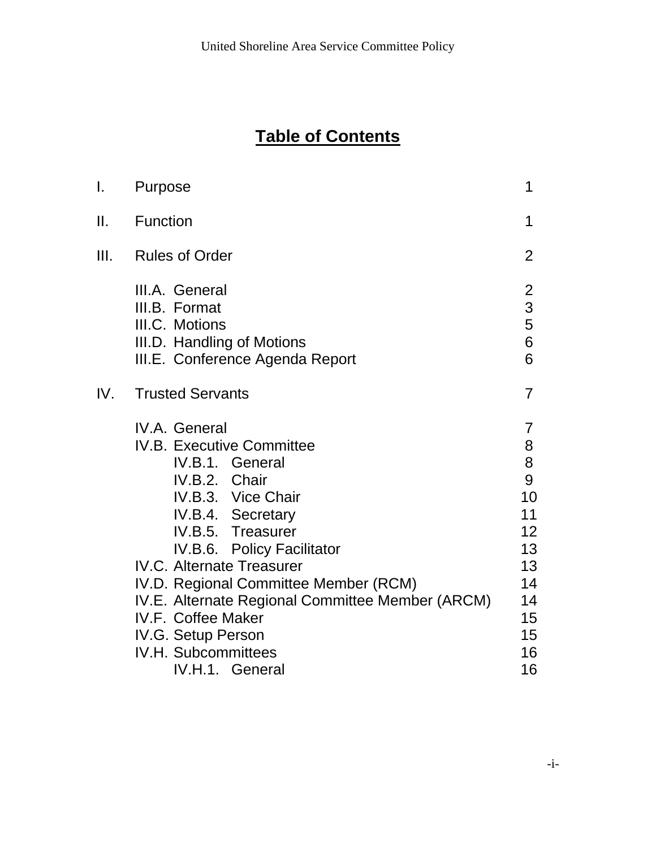# **Table of Contents**

| I.  | Purpose                                                                                                                                                                                                                                                                                                                                                                                                           | 1                                                                                  |
|-----|-------------------------------------------------------------------------------------------------------------------------------------------------------------------------------------------------------------------------------------------------------------------------------------------------------------------------------------------------------------------------------------------------------------------|------------------------------------------------------------------------------------|
| Ш.  | <b>Function</b>                                                                                                                                                                                                                                                                                                                                                                                                   | 1                                                                                  |
| Ш.  | <b>Rules of Order</b>                                                                                                                                                                                                                                                                                                                                                                                             | 2                                                                                  |
|     | III.A. General<br>III.B. Format<br>III.C. Motions<br>III.D. Handling of Motions<br>III.E. Conference Agenda Report                                                                                                                                                                                                                                                                                                | $\overline{2}$<br>$\overline{3}$<br>5<br>6<br>6                                    |
| IV. | <b>Trusted Servants</b>                                                                                                                                                                                                                                                                                                                                                                                           | 7                                                                                  |
|     | IV.A. General<br><b>IV.B. Executive Committee</b><br>IV.B.1. General<br>IV.B.2. Chair<br>IV.B.3. Vice Chair<br>IV.B.4. Secretary<br>IV.B.5. Treasurer<br>IV.B.6. Policy Facilitator<br><b>IV.C. Alternate Treasurer</b><br>IV.D. Regional Committee Member (RCM)<br>IV.E. Alternate Regional Committee Member (ARCM)<br>IV.F. Coffee Maker<br>IV.G. Setup Person<br><b>IV.H. Subcommittees</b><br>IV.H.1. General | 7<br>8<br>8<br>9<br>10<br>11<br>12<br>13<br>13<br>14<br>14<br>15<br>15<br>16<br>16 |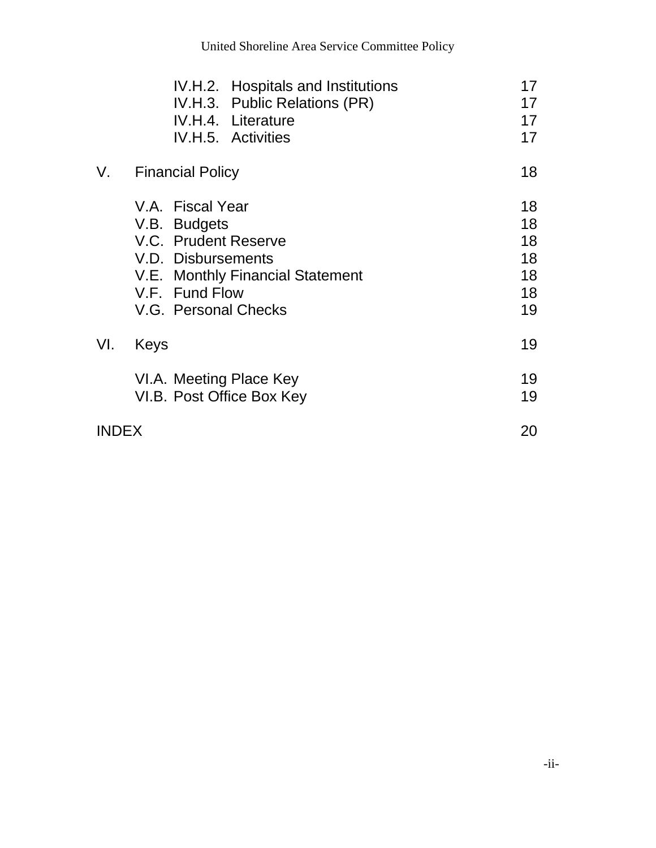| 17 |
|----|
|    |
| 17 |
| 17 |
| 18 |
| 18 |
| 18 |
| 18 |
| 18 |
| 18 |
| 18 |
| 19 |
| 19 |
| 19 |
| 19 |
| 20 |
|    |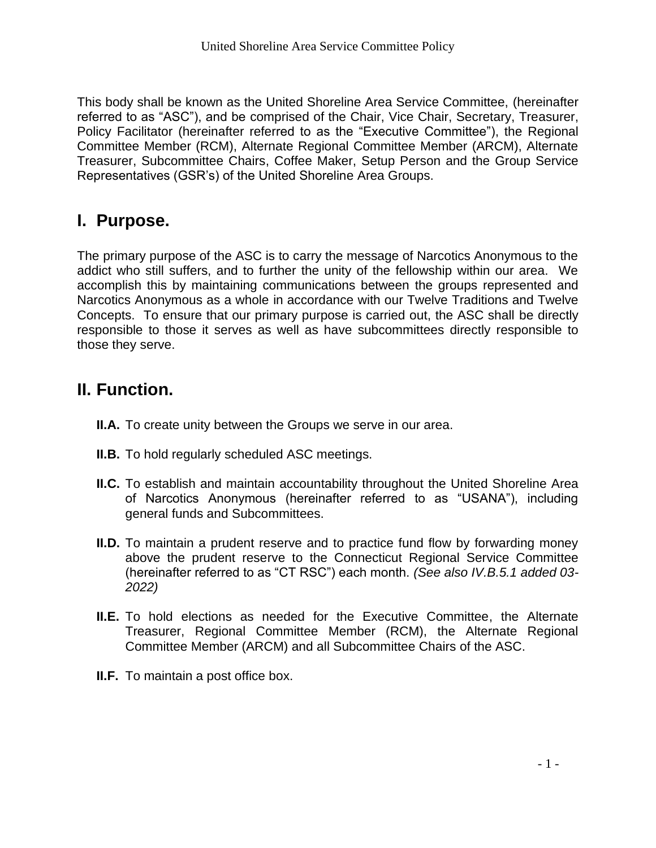This body shall be known as the United Shoreline Area Service Committee, (hereinafter referred to as "ASC"), and be comprised of the Chair, Vice Chair, Secretary, Treasurer, Policy Facilitator (hereinafter referred to as the "Executive Committee"), the Regional Committee Member (RCM), Alternate Regional Committee Member (ARCM), Alternate Treasurer, Subcommittee Chairs, Coffee Maker, Setup Person and the Group Service Representatives (GSR's) of the United Shoreline Area Groups.

# **I. Purpose.**

The primary purpose of the ASC is to carry the message of Narcotics Anonymous to the addict who still suffers, and to further the unity of the fellowship within our area. We accomplish this by maintaining communications between the groups represented and Narcotics Anonymous as a whole in accordance with our Twelve Traditions and Twelve Concepts. To ensure that our primary purpose is carried out, the ASC shall be directly responsible to those it serves as well as have subcommittees directly responsible to those they serve.

# **II. Function.**

- **II.A.** To create unity between the Groups we serve in our area.
- **II.B.** To hold regularly scheduled ASC meetings.
- **II.C.** To establish and maintain accountability throughout the United Shoreline Area of Narcotics Anonymous (hereinafter referred to as "USANA"), including general funds and Subcommittees.
- **II.D.** To maintain a prudent reserve and to practice fund flow by forwarding money above the prudent reserve to the Connecticut Regional Service Committee (hereinafter referred to as "CT RSC") each month. *(See also IV.B.5.1 added 03- 2022)*
- **II.E.** To hold elections as needed for the Executive Committee, the Alternate Treasurer, Regional Committee Member (RCM), the Alternate Regional Committee Member (ARCM) and all Subcommittee Chairs of the ASC.
- **II.F.** To maintain a post office box.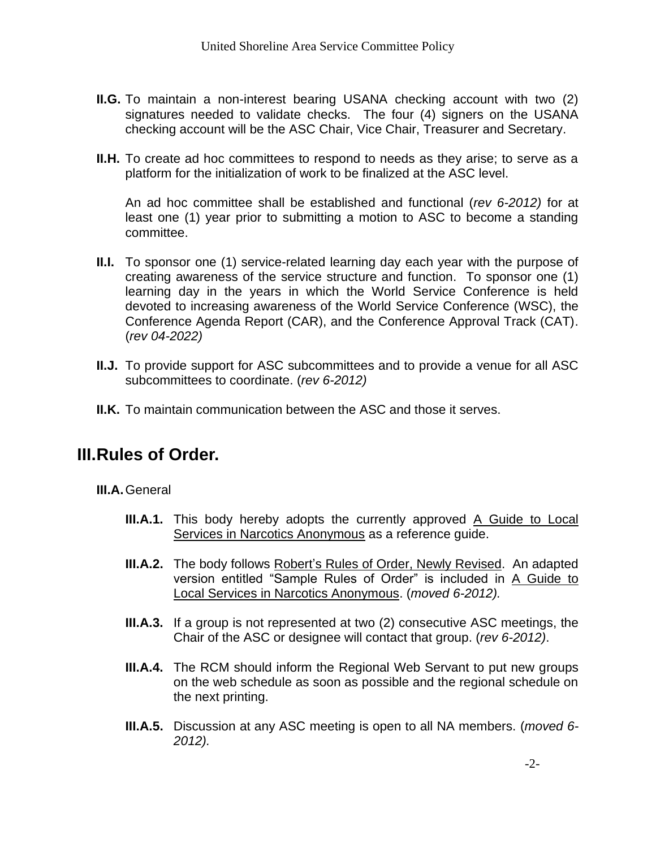- **II.G.** To maintain a non-interest bearing USANA checking account with two (2) signatures needed to validate checks. The four (4) signers on the USANA checking account will be the ASC Chair, Vice Chair, Treasurer and Secretary.
- **II.H.** To create ad hoc committees to respond to needs as they arise; to serve as a platform for the initialization of work to be finalized at the ASC level.

An ad hoc committee shall be established and functional (*rev 6-2012)* for at least one (1) year prior to submitting a motion to ASC to become a standing committee.

- **II.I.** To sponsor one (1) service-related learning day each year with the purpose of creating awareness of the service structure and function. To sponsor one (1) learning day in the years in which the World Service Conference is held devoted to increasing awareness of the World Service Conference (WSC), the Conference Agenda Report (CAR), and the Conference Approval Track (CAT). (*rev 04-2022)*
- **II.J.** To provide support for ASC subcommittees and to provide a venue for all ASC subcommittees to coordinate. (*rev 6-2012)*
- **II.K.** To maintain communication between the ASC and those it serves.

# **III.Rules of Order.**

**III.A.**General

- **III.A.1.** This body hereby adopts the currently approved A Guide to Local Services in Narcotics Anonymous as a reference guide.
- **III.A.2.** The body follows Robert's Rules of Order, Newly Revised. An adapted version entitled "Sample Rules of Order" is included in A Guide to Local Services in Narcotics Anonymous. (*moved 6-2012).*
- **III.A.3.** If a group is not represented at two (2) consecutive ASC meetings, the Chair of the ASC or designee will contact that group. (*rev 6-2012)*.
- **III.A.4.** The RCM should inform the Regional Web Servant to put new groups on the web schedule as soon as possible and the regional schedule on the next printing.
- **III.A.5.** Discussion at any ASC meeting is open to all NA members. (*moved 6- 2012).*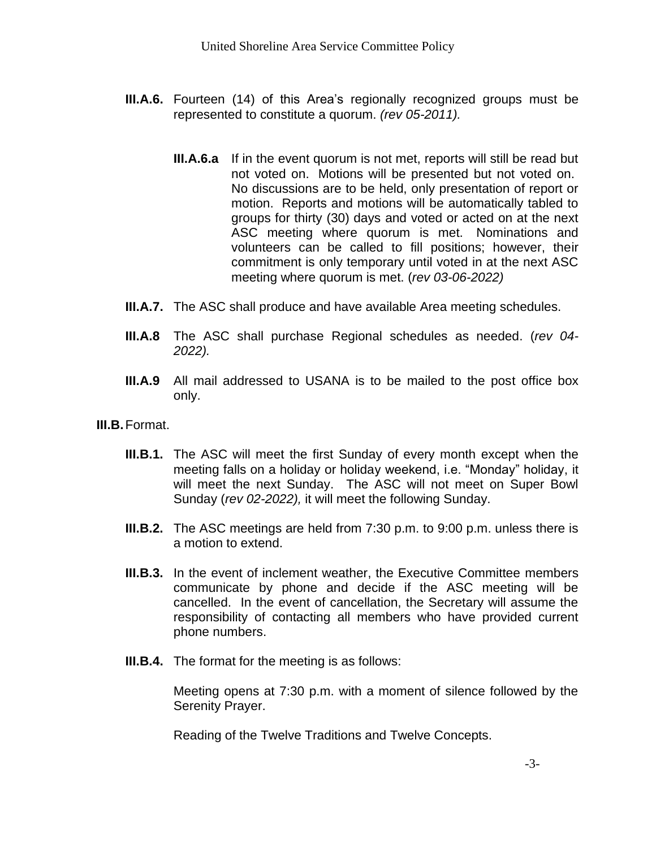- **III.A.6.** Fourteen (14) of this Area's regionally recognized groups must be represented to constitute a quorum. *(rev 05-2011).*
	- **III.A.6.a** If in the event quorum is not met, reports will still be read but not voted on. Motions will be presented but not voted on. No discussions are to be held, only presentation of report or motion. Reports and motions will be automatically tabled to groups for thirty (30) days and voted or acted on at the next ASC meeting where quorum is met. Nominations and volunteers can be called to fill positions; however, their commitment is only temporary until voted in at the next ASC meeting where quorum is met. (*rev 03-06-2022)*
- **III.A.7.** The ASC shall produce and have available Area meeting schedules.
- **III.A.8** The ASC shall purchase Regional schedules as needed. (*rev 04- 2022).*
- **III.A.9** All mail addressed to USANA is to be mailed to the post office box only.
- **III.B.**Format.
	- **III.B.1.** The ASC will meet the first Sunday of every month except when the meeting falls on a holiday or holiday weekend, i.e. "Monday" holiday, it will meet the next Sunday. The ASC will not meet on Super Bowl Sunday (*rev 02-2022),* it will meet the following Sunday.
	- **III.B.2.** The ASC meetings are held from 7:30 p.m. to 9:00 p.m. unless there is a motion to extend.
	- **III.B.3.** In the event of inclement weather, the Executive Committee members communicate by phone and decide if the ASC meeting will be cancelled. In the event of cancellation, the Secretary will assume the responsibility of contacting all members who have provided current phone numbers.
	- **III.B.4.** The format for the meeting is as follows:

Meeting opens at 7:30 p.m. with a moment of silence followed by the Serenity Prayer.

Reading of the Twelve Traditions and Twelve Concepts.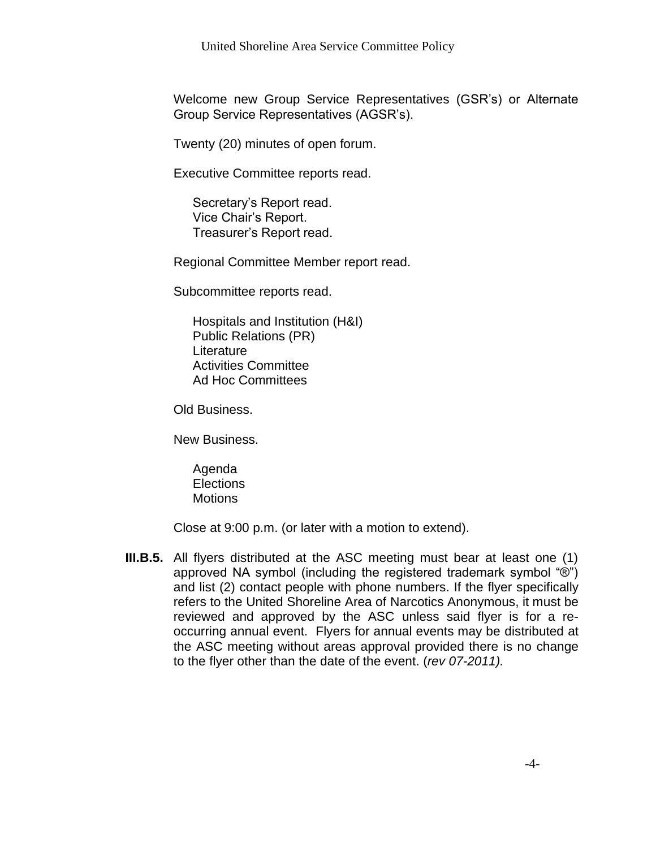Welcome new Group Service Representatives (GSR's) or Alternate Group Service Representatives (AGSR's).

Twenty (20) minutes of open forum.

Executive Committee reports read.

Secretary's Report read. Vice Chair's Report. Treasurer's Report read.

Regional Committee Member report read.

Subcommittee reports read.

Hospitals and Institution (H&I) Public Relations (PR) Literature Activities Committee Ad Hoc Committees

Old Business.

New Business.

Agenda **Elections Motions** 

Close at 9:00 p.m. (or later with a motion to extend).

**III.B.5.** All flyers distributed at the ASC meeting must bear at least one (1) approved NA symbol (including the registered trademark symbol "®") and list (2) contact people with phone numbers. If the flyer specifically refers to the United Shoreline Area of Narcotics Anonymous, it must be reviewed and approved by the ASC unless said flyer is for a reoccurring annual event. Flyers for annual events may be distributed at the ASC meeting without areas approval provided there is no change to the flyer other than the date of the event. (*rev 07-2011).*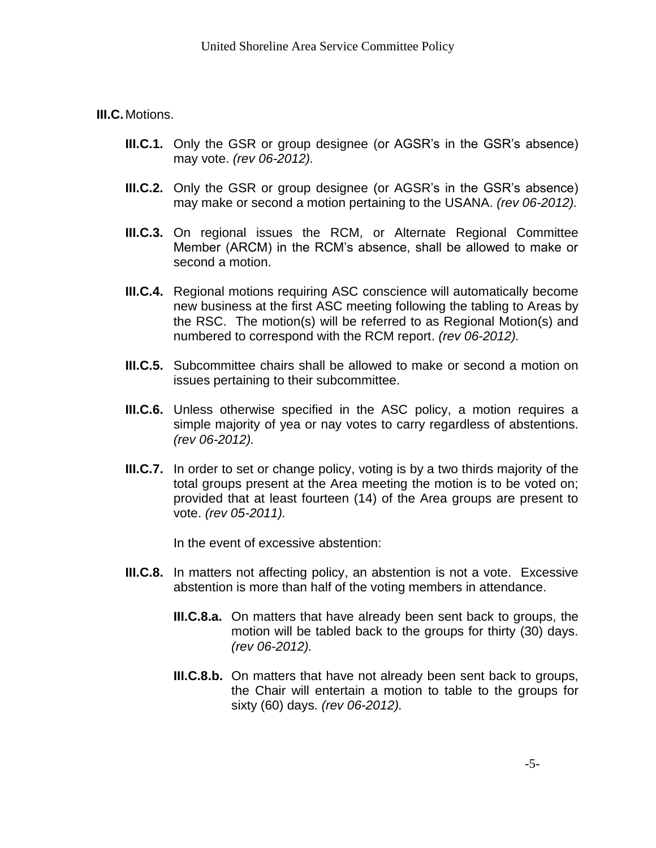**III.C.**Motions.

- **III.C.1.** Only the GSR or group designee (or AGSR's in the GSR's absence) may vote. *(rev 06-2012).*
- **III.C.2.** Only the GSR or group designee (or AGSR's in the GSR's absence) may make or second a motion pertaining to the USANA. *(rev 06-2012).*
- **III.C.3.** On regional issues the RCM, or Alternate Regional Committee Member (ARCM) in the RCM's absence, shall be allowed to make or second a motion.
- **III.C.4.** Regional motions requiring ASC conscience will automatically become new business at the first ASC meeting following the tabling to Areas by the RSC. The motion(s) will be referred to as Regional Motion(s) and numbered to correspond with the RCM report. *(rev 06-2012).*
- **III.C.5.** Subcommittee chairs shall be allowed to make or second a motion on issues pertaining to their subcommittee.
- **III.C.6.** Unless otherwise specified in the ASC policy, a motion requires a simple majority of yea or nay votes to carry regardless of abstentions. *(rev 06-2012).*
- **III.C.7.** In order to set or change policy, voting is by a two thirds majority of the total groups present at the Area meeting the motion is to be voted on; provided that at least fourteen (14) of the Area groups are present to vote. *(rev 05-2011).*

In the event of excessive abstention:

- **III.C.8.** In matters not affecting policy, an abstention is not a vote. Excessive abstention is more than half of the voting members in attendance.
	- **III.C.8.a.** On matters that have already been sent back to groups, the motion will be tabled back to the groups for thirty (30) days. *(rev 06-2012).*
	- **III.C.8.b.** On matters that have not already been sent back to groups, the Chair will entertain a motion to table to the groups for sixty (60) days. *(rev 06-2012).*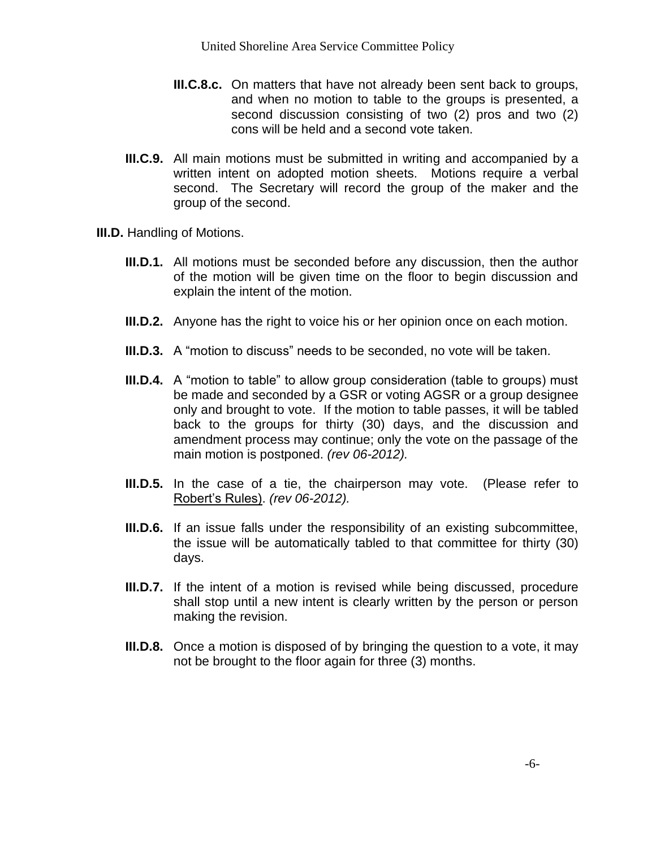- **III.C.8.c.** On matters that have not already been sent back to groups, and when no motion to table to the groups is presented, a second discussion consisting of two (2) pros and two (2) cons will be held and a second vote taken.
- **III.C.9.** All main motions must be submitted in writing and accompanied by a written intent on adopted motion sheets. Motions require a verbal second. The Secretary will record the group of the maker and the group of the second.
- **III.D.** Handling of Motions.
	- **III.D.1.** All motions must be seconded before any discussion, then the author of the motion will be given time on the floor to begin discussion and explain the intent of the motion.
	- **III.D.2.** Anyone has the right to voice his or her opinion once on each motion.
	- **III.D.3.** A "motion to discuss" needs to be seconded, no vote will be taken.
	- **III.D.4.** A "motion to table" to allow group consideration (table to groups) must be made and seconded by a GSR or voting AGSR or a group designee only and brought to vote. If the motion to table passes, it will be tabled back to the groups for thirty (30) days, and the discussion and amendment process may continue; only the vote on the passage of the main motion is postponed. *(rev 06-2012).*
	- **III.D.5.** In the case of a tie, the chairperson may vote. (Please refer to Robert's Rules). *(rev 06-2012).*
	- **III.D.6.** If an issue falls under the responsibility of an existing subcommittee, the issue will be automatically tabled to that committee for thirty (30) days.
	- **III.D.7.** If the intent of a motion is revised while being discussed, procedure shall stop until a new intent is clearly written by the person or person making the revision.
	- **III.D.8.** Once a motion is disposed of by bringing the question to a vote, it may not be brought to the floor again for three (3) months.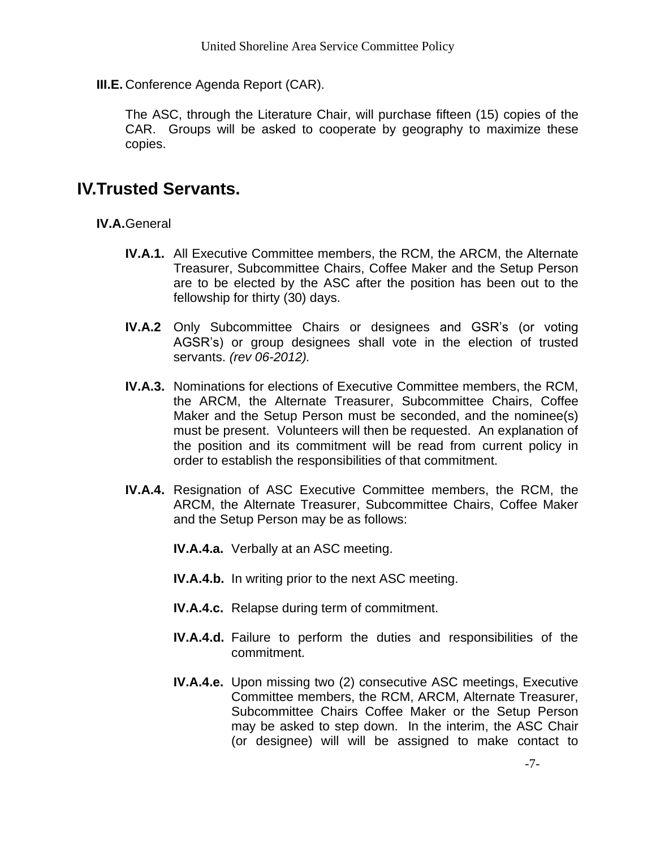**III.E.** Conference Agenda Report (CAR).

The ASC, through the Literature Chair, will purchase fifteen (15) copies of the CAR. Groups will be asked to cooperate by geography to maximize these copies.

### **IV.Trusted Servants.**

**IV.A.**General

- **IV.A.1.** All Executive Committee members, the RCM, the ARCM, the Alternate Treasurer, Subcommittee Chairs, Coffee Maker and the Setup Person are to be elected by the ASC after the position has been out to the fellowship for thirty (30) days.
- **IV.A.2** Only Subcommittee Chairs or designees and GSR's (or voting AGSR's) or group designees shall vote in the election of trusted servants. *(rev 06-2012).*
- **IV.A.3.** Nominations for elections of Executive Committee members, the RCM, the ARCM, the Alternate Treasurer, Subcommittee Chairs, Coffee Maker and the Setup Person must be seconded, and the nominee(s) must be present. Volunteers will then be requested. An explanation of the position and its commitment will be read from current policy in order to establish the responsibilities of that commitment.
- **IV.A.4.** Resignation of ASC Executive Committee members, the RCM, the ARCM, the Alternate Treasurer, Subcommittee Chairs, Coffee Maker and the Setup Person may be as follows:

**IV.A.4.a.** Verbally at an ASC meeting.

- **IV.A.4.b.** In writing prior to the next ASC meeting.
- **IV.A.4.c.** Relapse during term of commitment.
- **IV.A.4.d.** Failure to perform the duties and responsibilities of the commitment.
- **IV.A.4.e.** Upon missing two (2) consecutive ASC meetings, Executive Committee members, the RCM, ARCM, Alternate Treasurer, Subcommittee Chairs Coffee Maker or the Setup Person may be asked to step down. In the interim, the ASC Chair (or designee) will will be assigned to make contact to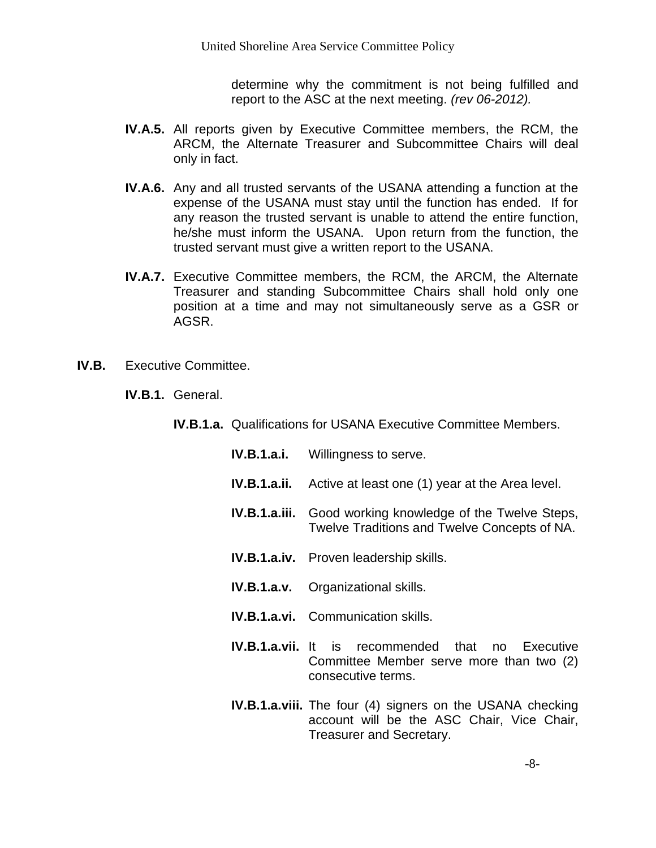determine why the commitment is not being fulfilled and report to the ASC at the next meeting. *(rev 06-2012).*

- **IV.A.5.** All reports given by Executive Committee members, the RCM, the ARCM, the Alternate Treasurer and Subcommittee Chairs will deal only in fact.
- **IV.A.6.** Any and all trusted servants of the USANA attending a function at the expense of the USANA must stay until the function has ended. If for any reason the trusted servant is unable to attend the entire function, he/she must inform the USANA. Upon return from the function, the trusted servant must give a written report to the USANA.
- **IV.A.7.** Executive Committee members, the RCM, the ARCM, the Alternate Treasurer and standing Subcommittee Chairs shall hold only one position at a time and may not simultaneously serve as a GSR or AGSR.
- **IV.B.** Executive Committee.
	- **IV.B.1.** General.
		- **IV.B.1.a.** Qualifications for USANA Executive Committee Members.
			- **IV.B.1.a.i.** Willingness to serve.
			- **IV.B.1.a.ii.** Active at least one (1) year at the Area level.
			- **IV.B.1.a.iii.** Good working knowledge of the Twelve Steps, Twelve Traditions and Twelve Concepts of NA.
			- **IV.B.1.a.iv.** Proven leadership skills.
			- **IV.B.1.a.v.** Organizational skills.
			- **IV.B.1.a.vi.** Communication skills.
			- **IV.B.1.a.vii.** It is recommended that no Executive Committee Member serve more than two (2) consecutive terms.
			- **IV.B.1.a.viii.** The four (4) signers on the USANA checking account will be the ASC Chair, Vice Chair, Treasurer and Secretary.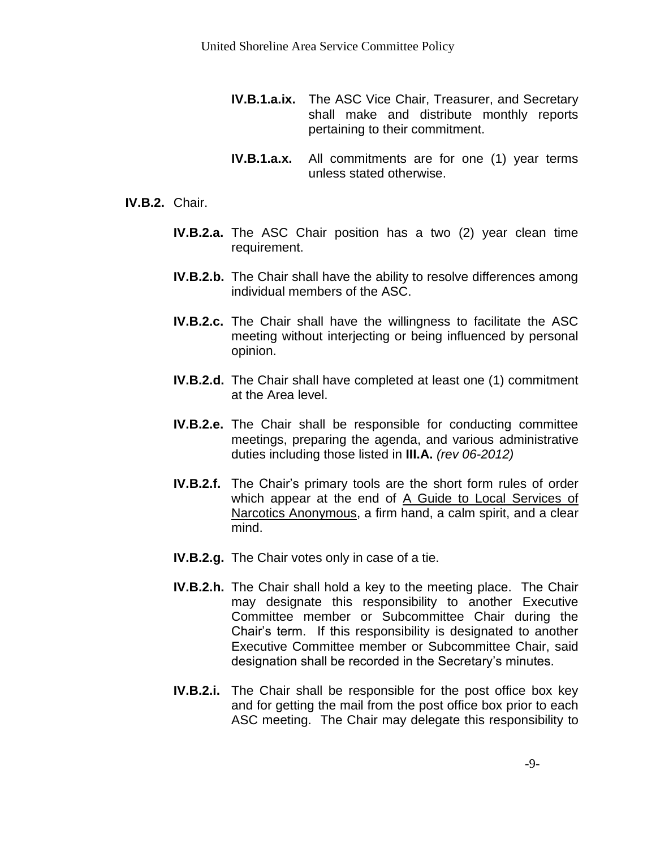- **IV.B.1.a.ix.** The ASC Vice Chair, Treasurer, and Secretary shall make and distribute monthly reports pertaining to their commitment.
- **IV.B.1.a.x.** All commitments are for one (1) year terms unless stated otherwise.

#### **IV.B.2.** Chair.

- **IV.B.2.a.** The ASC Chair position has a two (2) year clean time requirement.
- **IV.B.2.b.** The Chair shall have the ability to resolve differences among individual members of the ASC.
- **IV.B.2.c.** The Chair shall have the willingness to facilitate the ASC meeting without interjecting or being influenced by personal opinion.
- **IV.B.2.d.** The Chair shall have completed at least one (1) commitment at the Area level.
- **IV.B.2.e.** The Chair shall be responsible for conducting committee meetings, preparing the agenda, and various administrative duties including those listed in **III.A.** *(rev 06-2012)*
- **IV.B.2.f.** The Chair's primary tools are the short form rules of order which appear at the end of A Guide to Local Services of Narcotics Anonymous, a firm hand, a calm spirit, and a clear mind.
- **IV.B.2.g.** The Chair votes only in case of a tie.
- **IV.B.2.h.** The Chair shall hold a key to the meeting place. The Chair may designate this responsibility to another Executive Committee member or Subcommittee Chair during the Chair's term. If this responsibility is designated to another Executive Committee member or Subcommittee Chair, said designation shall be recorded in the Secretary's minutes.
- **IV.B.2.i.** The Chair shall be responsible for the post office box key and for getting the mail from the post office box prior to each ASC meeting. The Chair may delegate this responsibility to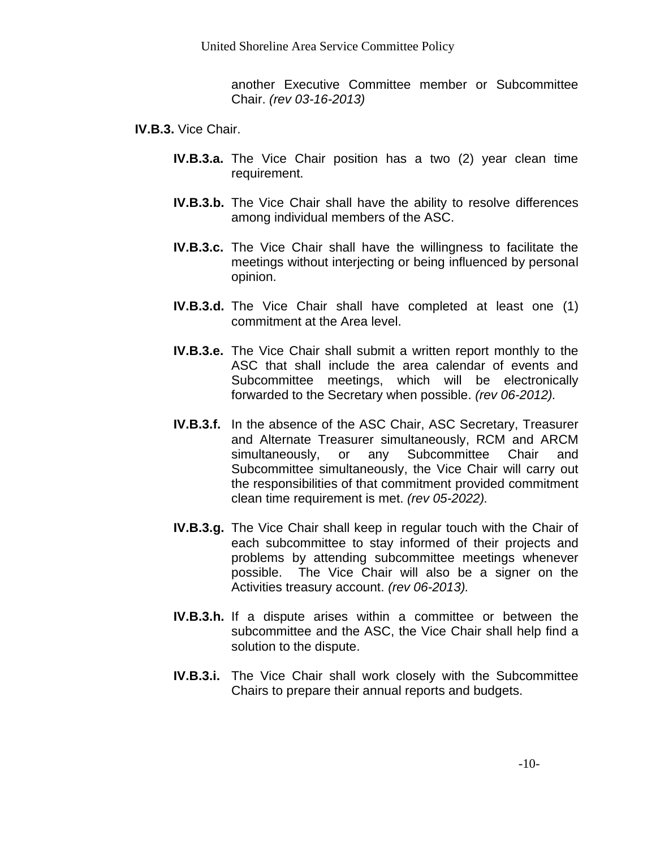another Executive Committee member or Subcommittee Chair. *(rev 03-16-2013)*

- **IV.B.3.** Vice Chair.
	- **IV.B.3.a.** The Vice Chair position has a two (2) year clean time requirement.
	- **IV.B.3.b.** The Vice Chair shall have the ability to resolve differences among individual members of the ASC.
	- **IV.B.3.c.** The Vice Chair shall have the willingness to facilitate the meetings without interjecting or being influenced by personal opinion.
	- **IV.B.3.d.** The Vice Chair shall have completed at least one (1) commitment at the Area level.
	- **IV.B.3.e.** The Vice Chair shall submit a written report monthly to the ASC that shall include the area calendar of events and Subcommittee meetings, which will be electronically forwarded to the Secretary when possible. *(rev 06-2012).*
	- **IV.B.3.f.** In the absence of the ASC Chair, ASC Secretary, Treasurer and Alternate Treasurer simultaneously, RCM and ARCM simultaneously, or any Subcommittee Chair and Subcommittee simultaneously, the Vice Chair will carry out the responsibilities of that commitment provided commitment clean time requirement is met. *(rev 05-2022).*
	- **IV.B.3.g.** The Vice Chair shall keep in regular touch with the Chair of each subcommittee to stay informed of their projects and problems by attending subcommittee meetings whenever possible. The Vice Chair will also be a signer on the Activities treasury account. *(rev 06-2013).*
	- **IV.B.3.h.** If a dispute arises within a committee or between the subcommittee and the ASC, the Vice Chair shall help find a solution to the dispute.
	- **IV.B.3.i.** The Vice Chair shall work closely with the Subcommittee Chairs to prepare their annual reports and budgets.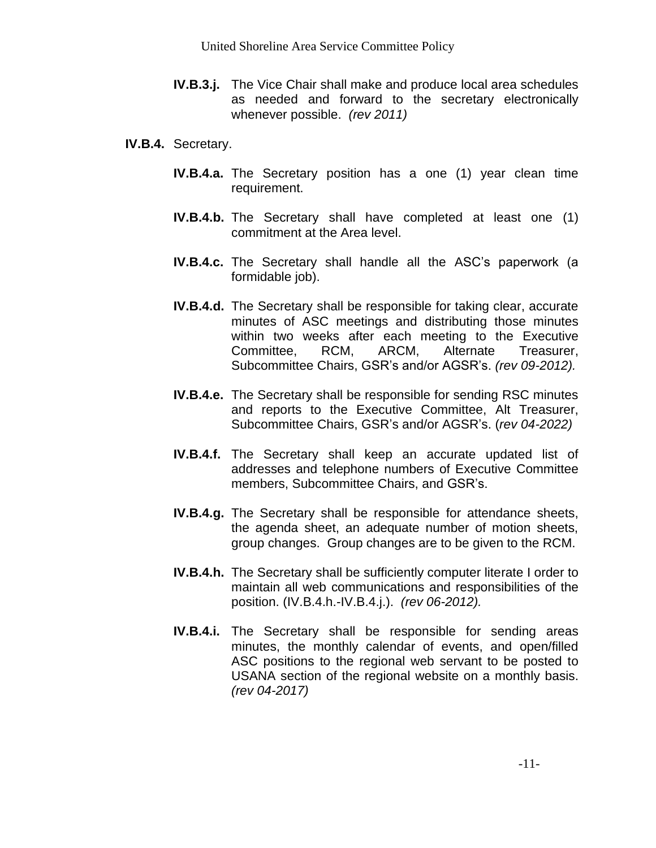- **IV.B.3.j.** The Vice Chair shall make and produce local area schedules as needed and forward to the secretary electronically whenever possible. *(rev 2011)*
- **IV.B.4.** Secretary.
	- **IV.B.4.a.** The Secretary position has a one (1) year clean time requirement.
	- **IV.B.4.b.** The Secretary shall have completed at least one (1) commitment at the Area level.
	- **IV.B.4.c.** The Secretary shall handle all the ASC's paperwork (a formidable job).
	- **IV.B.4.d.** The Secretary shall be responsible for taking clear, accurate minutes of ASC meetings and distributing those minutes within two weeks after each meeting to the Executive Committee, RCM, ARCM, Alternate Treasurer, Subcommittee Chairs, GSR's and/or AGSR's. *(rev 09-2012).*
	- **IV.B.4.e.** The Secretary shall be responsible for sending RSC minutes and reports to the Executive Committee, Alt Treasurer, Subcommittee Chairs, GSR's and/or AGSR's. (*rev 04-2022)*
	- **IV.B.4.f.** The Secretary shall keep an accurate updated list of addresses and telephone numbers of Executive Committee members, Subcommittee Chairs, and GSR's.
	- **IV.B.4.g.** The Secretary shall be responsible for attendance sheets, the agenda sheet, an adequate number of motion sheets, group changes. Group changes are to be given to the RCM.
	- **IV.B.4.h.** The Secretary shall be sufficiently computer literate I order to maintain all web communications and responsibilities of the position. (IV.B.4.h.-IV.B.4.j.). *(rev 06-2012).*
	- **IV.B.4.i.** The Secretary shall be responsible for sending areas minutes, the monthly calendar of events, and open/filled ASC positions to the regional web servant to be posted to USANA section of the regional website on a monthly basis. *(rev 04-2017)*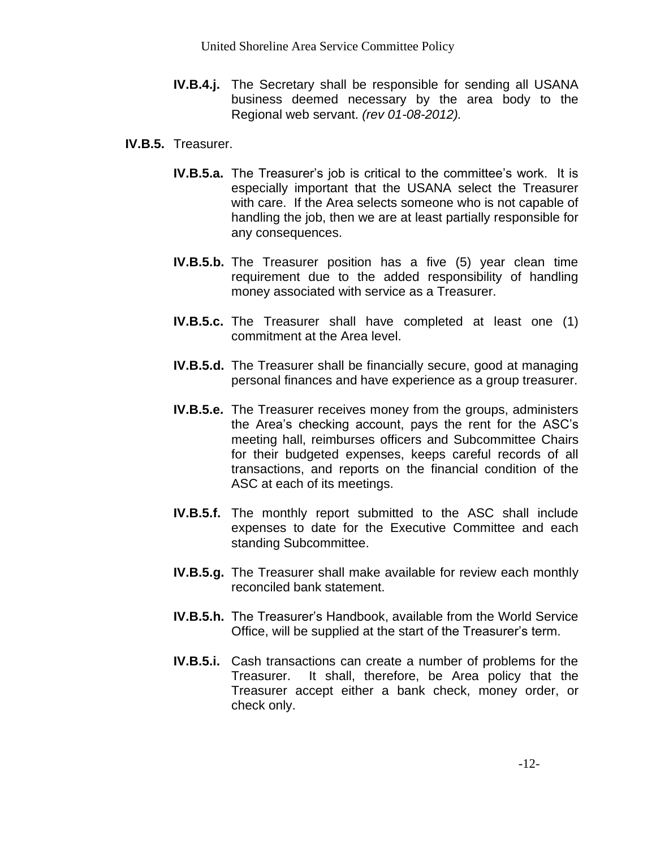- **IV.B.4.j.** The Secretary shall be responsible for sending all USANA business deemed necessary by the area body to the Regional web servant. *(rev 01-08-2012).*
- **IV.B.5.** Treasurer.
	- **IV.B.5.a.** The Treasurer's job is critical to the committee's work. It is especially important that the USANA select the Treasurer with care. If the Area selects someone who is not capable of handling the job, then we are at least partially responsible for any consequences.
	- **IV.B.5.b.** The Treasurer position has a five (5) year clean time requirement due to the added responsibility of handling money associated with service as a Treasurer.
	- **IV.B.5.c.** The Treasurer shall have completed at least one (1) commitment at the Area level.
	- **IV.B.5.d.** The Treasurer shall be financially secure, good at managing personal finances and have experience as a group treasurer.
	- **IV.B.5.e.** The Treasurer receives money from the groups, administers the Area's checking account, pays the rent for the ASC's meeting hall, reimburses officers and Subcommittee Chairs for their budgeted expenses, keeps careful records of all transactions, and reports on the financial condition of the ASC at each of its meetings.
	- **IV.B.5.f.** The monthly report submitted to the ASC shall include expenses to date for the Executive Committee and each standing Subcommittee.
	- **IV.B.5.g.** The Treasurer shall make available for review each monthly reconciled bank statement.
	- **IV.B.5.h.** The Treasurer's Handbook, available from the World Service Office, will be supplied at the start of the Treasurer's term.
	- **IV.B.5.i.** Cash transactions can create a number of problems for the Treasurer. It shall, therefore, be Area policy that the Treasurer accept either a bank check, money order, or check only.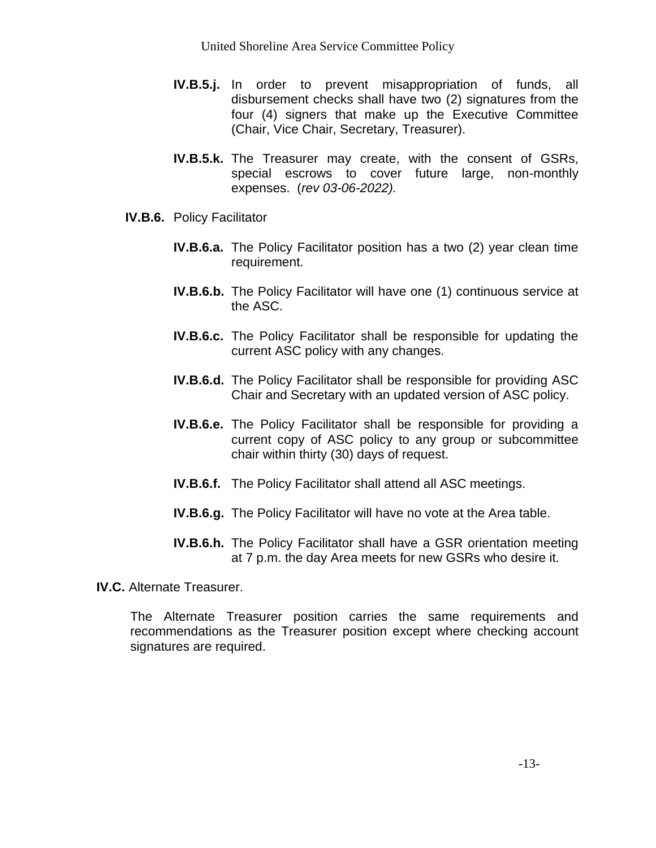- **IV.B.5.j.** In order to prevent misappropriation of funds, all disbursement checks shall have two (2) signatures from the four (4) signers that make up the Executive Committee (Chair, Vice Chair, Secretary, Treasurer).
- **IV.B.5.k.** The Treasurer may create, with the consent of GSRs, special escrows to cover future large, non-monthly expenses. (*rev 03-06-2022).*
- **IV.B.6.** Policy Facilitator
	- **IV.B.6.a.** The Policy Facilitator position has a two (2) year clean time requirement.
	- **IV.B.6.b.** The Policy Facilitator will have one (1) continuous service at the ASC.
	- **IV.B.6.c.** The Policy Facilitator shall be responsible for updating the current ASC policy with any changes.
	- **IV.B.6.d.** The Policy Facilitator shall be responsible for providing ASC Chair and Secretary with an updated version of ASC policy.
	- **IV.B.6.e.** The Policy Facilitator shall be responsible for providing a current copy of ASC policy to any group or subcommittee chair within thirty (30) days of request.
	- **IV.B.6.f.** The Policy Facilitator shall attend all ASC meetings.
	- **IV.B.6.g.** The Policy Facilitator will have no vote at the Area table.
	- **IV.B.6.h.** The Policy Facilitator shall have a GSR orientation meeting at 7 p.m. the day Area meets for new GSRs who desire it.

**IV.C.** Alternate Treasurer.

The Alternate Treasurer position carries the same requirements and recommendations as the Treasurer position except where checking account signatures are required.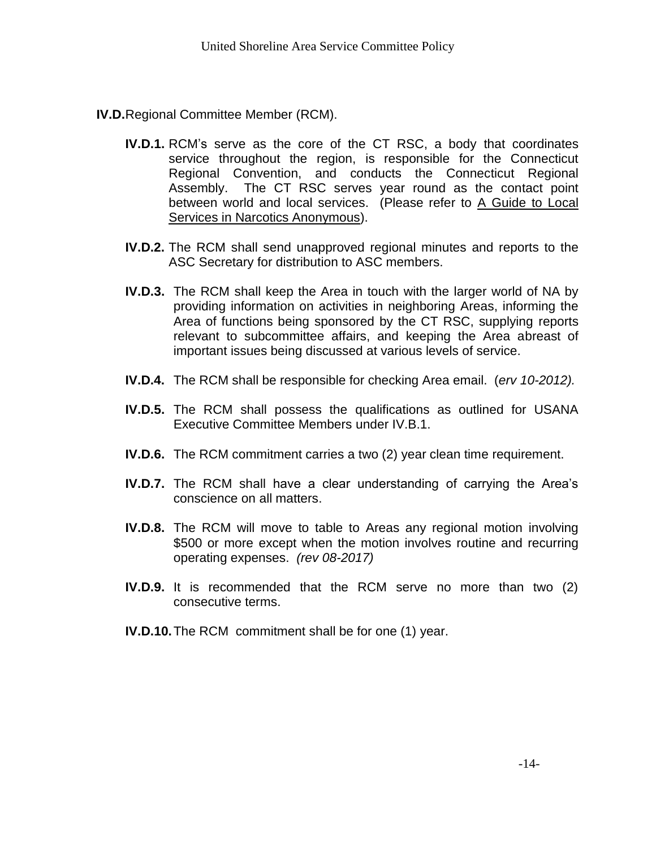- **IV.D.**Regional Committee Member (RCM).
	- **IV.D.1.** RCM's serve as the core of the CT RSC, a body that coordinates service throughout the region, is responsible for the Connecticut Regional Convention, and conducts the Connecticut Regional Assembly. The CT RSC serves year round as the contact point between world and local services. (Please refer to A Guide to Local Services in Narcotics Anonymous).
	- **IV.D.2.** The RCM shall send unapproved regional minutes and reports to the ASC Secretary for distribution to ASC members.
	- **IV.D.3.** The RCM shall keep the Area in touch with the larger world of NA by providing information on activities in neighboring Areas, informing the Area of functions being sponsored by the CT RSC, supplying reports relevant to subcommittee affairs, and keeping the Area abreast of important issues being discussed at various levels of service.
	- **IV.D.4.** The RCM shall be responsible for checking Area email. (*erv 10-2012).*
	- **IV.D.5.** The RCM shall possess the qualifications as outlined for USANA Executive Committee Members under IV.B.1.
	- **IV.D.6.** The RCM commitment carries a two (2) year clean time requirement.
	- **IV.D.7.** The RCM shall have a clear understanding of carrying the Area's conscience on all matters.
	- **IV.D.8.** The RCM will move to table to Areas any regional motion involving \$500 or more except when the motion involves routine and recurring operating expenses. *(rev 08-2017)*
	- **IV.D.9.** It is recommended that the RCM serve no more than two (2) consecutive terms.
	- **IV.D.10.**The RCM commitment shall be for one (1) year.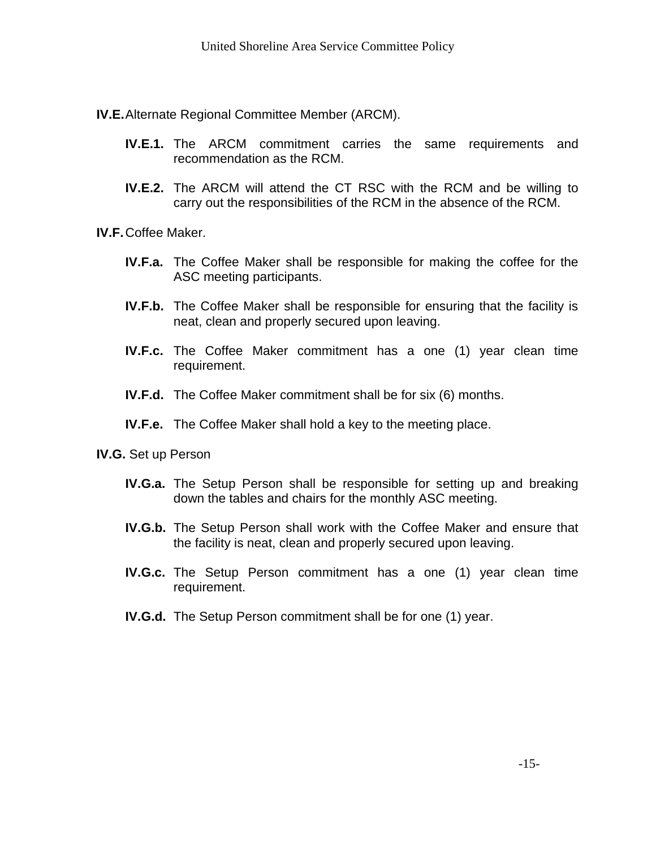**IV.E.**Alternate Regional Committee Member (ARCM).

- **IV.E.1.** The ARCM commitment carries the same requirements and recommendation as the RCM.
- **IV.E.2.** The ARCM will attend the CT RSC with the RCM and be willing to carry out the responsibilities of the RCM in the absence of the RCM.

**IV.F.**Coffee Maker.

- **IV.F.a.** The Coffee Maker shall be responsible for making the coffee for the ASC meeting participants.
- **IV.F.b.** The Coffee Maker shall be responsible for ensuring that the facility is neat, clean and properly secured upon leaving.
- **IV.F.c.** The Coffee Maker commitment has a one (1) year clean time requirement.
- **IV.F.d.** The Coffee Maker commitment shall be for six (6) months.
- **IV.F.e.** The Coffee Maker shall hold a key to the meeting place.
- **IV.G.** Set up Person
	- **IV.G.a.** The Setup Person shall be responsible for setting up and breaking down the tables and chairs for the monthly ASC meeting.
	- **IV.G.b.** The Setup Person shall work with the Coffee Maker and ensure that the facility is neat, clean and properly secured upon leaving.
	- **IV.G.c.** The Setup Person commitment has a one (1) year clean time requirement.
	- **IV.G.d.** The Setup Person commitment shall be for one (1) year.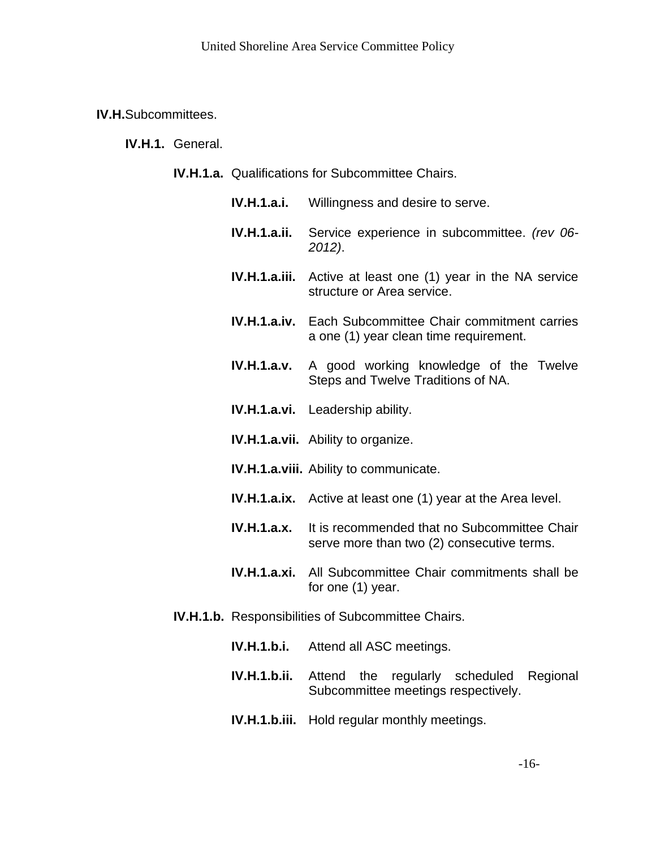**IV.H.**Subcommittees.

**IV.H.1.** General.

- **IV.H.1.a.** Qualifications for Subcommittee Chairs.
	- **IV.H.1.a.i.** Willingness and desire to serve.
	- **IV.H.1.a.ii.** Service experience in subcommittee. *(rev 06- 2012)*.
	- **IV.H.1.a.iii.** Active at least one (1) year in the NA service structure or Area service.
	- **IV.H.1.a.iv.** Each Subcommittee Chair commitment carries a one (1) year clean time requirement.
	- **IV.H.1.a.v.** A good working knowledge of the Twelve Steps and Twelve Traditions of NA.
	- **IV.H.1.a.vi.** Leadership ability.
	- **IV.H.1.a.vii.** Ability to organize.
	- **IV.H.1.a.viii.** Ability to communicate.
	- **IV.H.1.a.ix.** Active at least one (1) year at the Area level.
	- **IV.H.1.a.x.** It is recommended that no Subcommittee Chair serve more than two (2) consecutive terms.
	- **IV.H.1.a.xi.** All Subcommittee Chair commitments shall be for one (1) year.
- **IV.H.1.b.** Responsibilities of Subcommittee Chairs.
	- **IV.H.1.b.i.** Attend all ASC meetings.
	- **IV.H.1.b.ii.** Attend the regularly scheduled Regional Subcommittee meetings respectively.
	- **IV.H.1.b.iii.** Hold regular monthly meetings.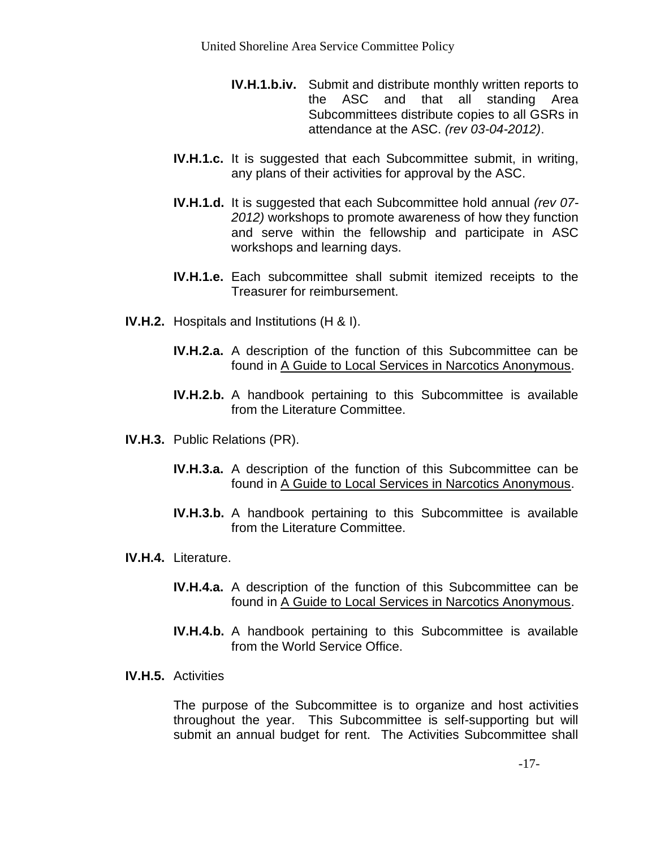- **IV.H.1.b.iv.** Submit and distribute monthly written reports to the ASC and that all standing Area Subcommittees distribute copies to all GSRs in attendance at the ASC. *(rev 03-04-2012)*.
- **IV.H.1.c.** It is suggested that each Subcommittee submit, in writing, any plans of their activities for approval by the ASC.
- **IV.H.1.d.** It is suggested that each Subcommittee hold annual *(rev 07- 2012)* workshops to promote awareness of how they function and serve within the fellowship and participate in ASC workshops and learning days.
- **IV.H.1.e.** Each subcommittee shall submit itemized receipts to the Treasurer for reimbursement.
- **IV.H.2.** Hospitals and Institutions (H & I).
	- **IV.H.2.a.** A description of the function of this Subcommittee can be found in A Guide to Local Services in Narcotics Anonymous.
	- **IV.H.2.b.** A handbook pertaining to this Subcommittee is available from the Literature Committee.
- **IV.H.3.** Public Relations (PR).
	- **IV.H.3.a.** A description of the function of this Subcommittee can be found in A Guide to Local Services in Narcotics Anonymous.
	- **IV.H.3.b.** A handbook pertaining to this Subcommittee is available from the Literature Committee.
- **IV.H.4.** Literature.
	- **IV.H.4.a.** A description of the function of this Subcommittee can be found in A Guide to Local Services in Narcotics Anonymous.
	- **IV.H.4.b.** A handbook pertaining to this Subcommittee is available from the World Service Office.
- **IV.H.5.** Activities

The purpose of the Subcommittee is to organize and host activities throughout the year. This Subcommittee is self-supporting but will submit an annual budget for rent. The Activities Subcommittee shall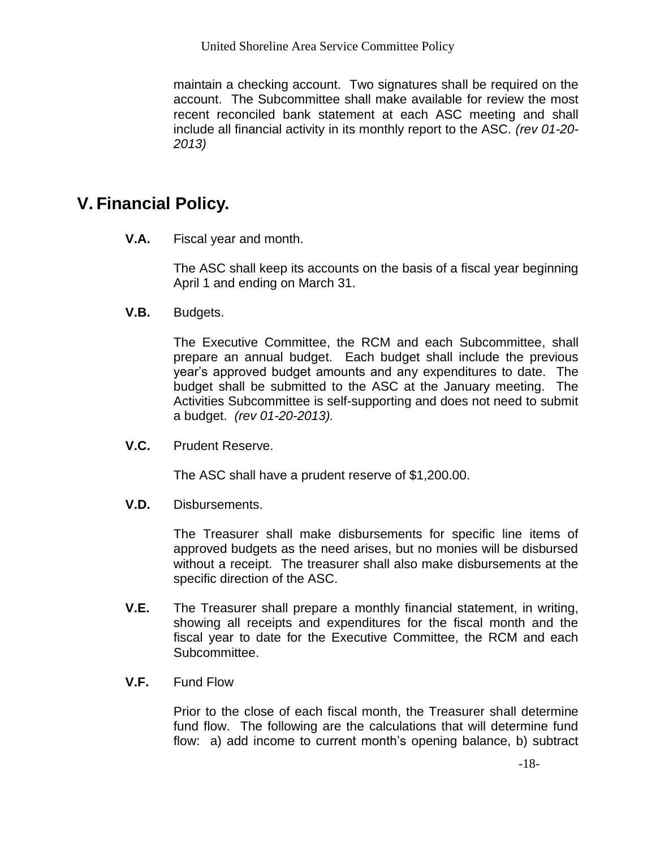maintain a checking account. Two signatures shall be required on the account. The Subcommittee shall make available for review the most recent reconciled bank statement at each ASC meeting and shall include all financial activity in its monthly report to the ASC. *(rev 01-20- 2013)*

## **V. Financial Policy.**

**V.A.** Fiscal year and month.

The ASC shall keep its accounts on the basis of a fiscal year beginning April 1 and ending on March 31.

**V.B.** Budgets.

The Executive Committee, the RCM and each Subcommittee, shall prepare an annual budget. Each budget shall include the previous year's approved budget amounts and any expenditures to date. The budget shall be submitted to the ASC at the January meeting. The Activities Subcommittee is self-supporting and does not need to submit a budget. *(rev 01-20-2013).*

**V.C.** Prudent Reserve.

The ASC shall have a prudent reserve of \$1,200.00.

**V.D.** Disbursements.

The Treasurer shall make disbursements for specific line items of approved budgets as the need arises, but no monies will be disbursed without a receipt. The treasurer shall also make disbursements at the specific direction of the ASC.

- **V.E.** The Treasurer shall prepare a monthly financial statement, in writing, showing all receipts and expenditures for the fiscal month and the fiscal year to date for the Executive Committee, the RCM and each Subcommittee.
- **V.F.** Fund Flow

Prior to the close of each fiscal month, the Treasurer shall determine fund flow. The following are the calculations that will determine fund flow: a) add income to current month's opening balance, b) subtract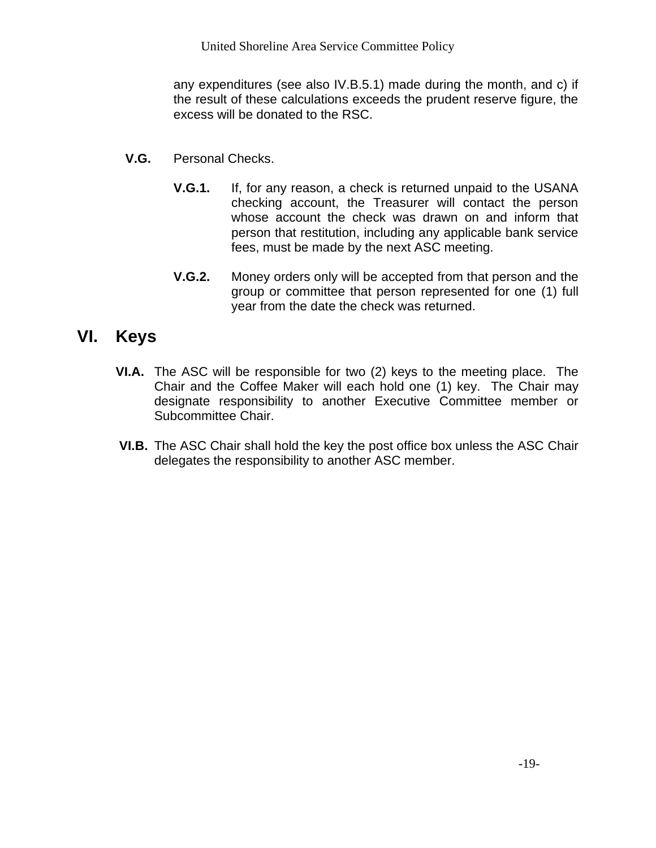any expenditures (see also IV.B.5.1) made during the month, and c) if the result of these calculations exceeds the prudent reserve figure, the excess will be donated to the RSC.

- **V.G.** Personal Checks.
	- **V.G.1.** If, for any reason, a check is returned unpaid to the USANA checking account, the Treasurer will contact the person whose account the check was drawn on and inform that person that restitution, including any applicable bank service fees, must be made by the next ASC meeting.
	- **V.G.2.** Money orders only will be accepted from that person and the group or committee that person represented for one (1) full year from the date the check was returned.

# **VI. Keys**

- **VI.A.** The ASC will be responsible for two (2) keys to the meeting place. The Chair and the Coffee Maker will each hold one (1) key. The Chair may designate responsibility to another Executive Committee member or Subcommittee Chair.
- **VI.B.** The ASC Chair shall hold the key the post office box unless the ASC Chair delegates the responsibility to another ASC member.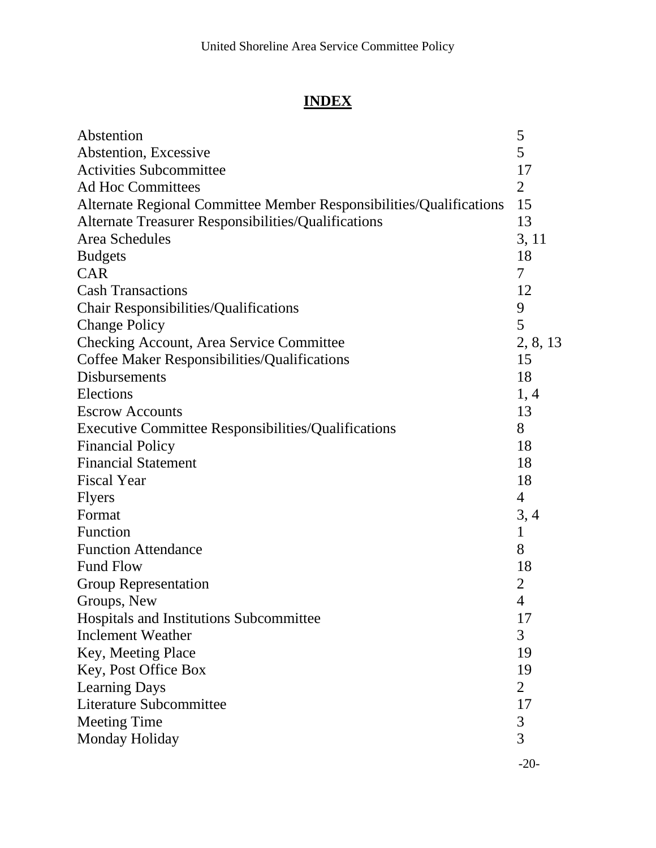# **INDEX**

| Abstention                                                          | 5              |
|---------------------------------------------------------------------|----------------|
| Abstention, Excessive                                               | 5              |
| <b>Activities Subcommittee</b>                                      | 17             |
| <b>Ad Hoc Committees</b>                                            | 2              |
| Alternate Regional Committee Member Responsibilities/Qualifications |                |
| Alternate Treasurer Responsibilities/Qualifications                 |                |
| Area Schedules                                                      |                |
| <b>Budgets</b>                                                      | 3, 11<br>18    |
| <b>CAR</b>                                                          | 7              |
| <b>Cash Transactions</b>                                            | 12             |
| <b>Chair Responsibilities/Qualifications</b>                        | 9              |
| <b>Change Policy</b>                                                | 5              |
| <b>Checking Account, Area Service Committee</b>                     | 2, 8, 13       |
| Coffee Maker Responsibilities/Qualifications                        | 15             |
| <b>Disbursements</b>                                                | 18             |
| Elections                                                           | 1, 4           |
| <b>Escrow Accounts</b>                                              | 13             |
| <b>Executive Committee Responsibilities/Qualifications</b>          | 8              |
| <b>Financial Policy</b>                                             | 18             |
| <b>Financial Statement</b>                                          | 18             |
| <b>Fiscal Year</b>                                                  | 18             |
| <b>Flyers</b>                                                       | 4              |
| Format                                                              | 3, 4           |
| Function                                                            | $\mathbf{1}$   |
| <b>Function Attendance</b>                                          | 8              |
| <b>Fund Flow</b>                                                    | 18             |
| <b>Group Representation</b>                                         | $\overline{2}$ |
| Groups, New                                                         | $\overline{4}$ |
| Hospitals and Institutions Subcommittee                             | 17             |
| <b>Inclement Weather</b>                                            | 3              |
| Key, Meeting Place                                                  | 19             |
| Key, Post Office Box                                                | 19             |
| <b>Learning Days</b>                                                | $\overline{2}$ |
| Literature Subcommittee                                             | 17             |
| <b>Meeting Time</b>                                                 | 3              |
| Monday Holiday                                                      | $\overline{3}$ |
|                                                                     |                |

-20-